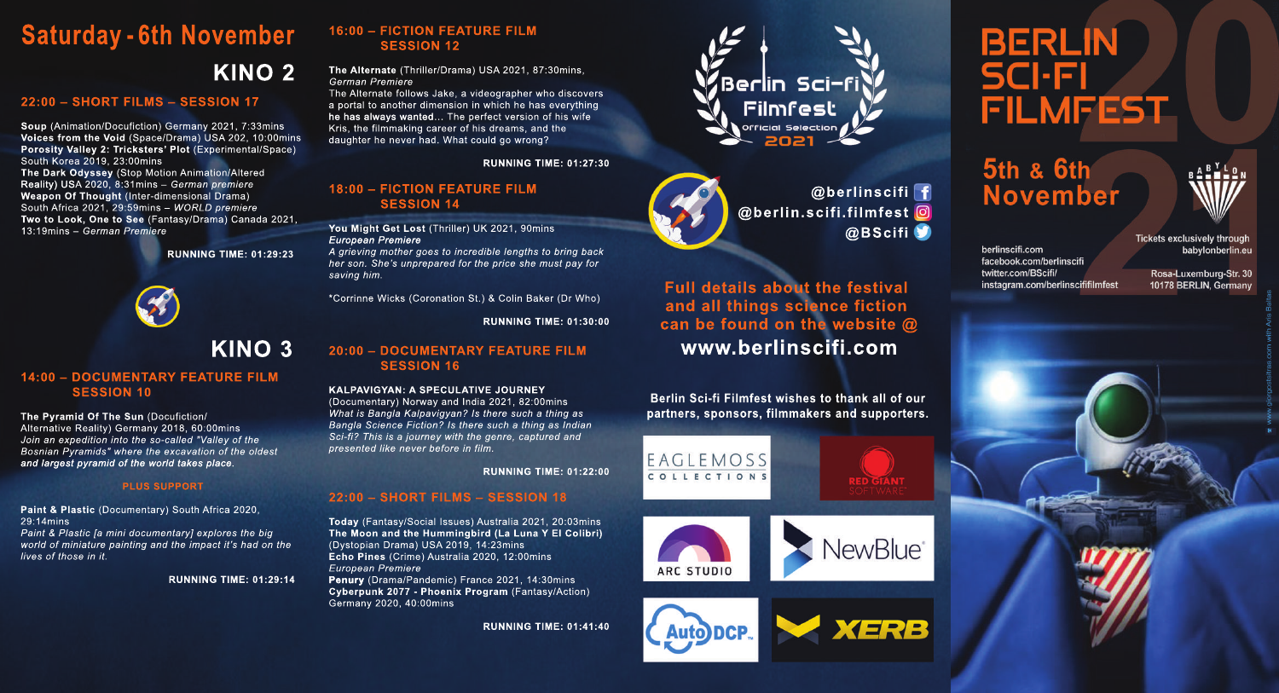# **K INO 2 Saturday - 6th November**

### **22:0 0 – SHORT FILM S – SESSION 17**

**Soup** (Animation/Docufiction) Germany 2021, 7:33mins **Voices from the Void** (Space/Drama) USA 202, 10:00mins **Porosity Valley 2: Tricksters' Plot** (Experimental/Space) South Korea 2019, 23:00mins **The Dark Odys s ey** (Stop Motion Animation/Altered Reality) USA 2020, 8:31mins – *German premiere* **Weapon Of Thought** (Inter-dimensional Drama) South Africa 2021, 29:59mins – *WORLD premiere* **Two to Look, One to See** (Fantasy/Drama) Canada 2021, 13:19mins – *German Premiere*

**RU NNING TIM E: 0 1:29:23**



## **K INO 3**

### **14:0 0 – DOCU M ENTARYFEATURE FILM SESSION 10**

**The Pyramid Of The Sun (Docufiction/** Alternative Reality) Germany 2018, 60:00mins *Join an expedition into the so-called "Valley of the Bosnian Pyramids" where the excavation of the oldest and largest pyramid of the world takes place.*

### **PLUS SUPPORT**

**Paint & Plas tic** (Documentary) South Africa 2020, 29:14mins

*Paint & Plastic [a mini documentary] explores the big world of miniature painting and the impact it's had on the lives of those in it.*

**RU NNING TIM E: 0 1:29:14**

### **16:0 0 – FICTION FEATURE FILM SESSION 12**

### **The Alternate** (Thriller/Drama) USA 2021, 87:30mins, *German Premiere*

The Alternate follows Jake, a videographer who discovers a portal to another dimension in which he has everything he has always wanted… The perfect version of his wife Kris, the filmmaking career of his dreams, and the daughter he never had. What could go wrong?

**RU NNING TIM E: 0 1:27:30**

### **18:0 0 – FICTION FEATURE FILM SESSION 14**

**You M ig ht G et Los t** (Thriller) UK 2021, 90mins *European Premiere*

*A grieving mother goes to incredible lengths to bring back her son. She's unprepared for the price she must pay for saving him.*

\*Corrinne Wicks (Coronation St.) & Colin Baker (Dr Who)

**RU NNING TIM E: 0 1:30 :0 0**

### **20 :0 0 – DOCU M ENTARYFEATURE FILM SESSION 16**

**K ALPAVIG YAN:ASPECU LATIVE J OURNEY** (Documentary) Norway and India 2021, 82:00mins *What is Bangla Kalpavigyan? Is there such a thing as Bangla Science Fiction? Is there such a thing as Indian Sci-fi? This is a journey with the genre, captured and presented like never before in film.*

**RU NNING TIM E: 0 1:22:0 0**

### **22:0 0 – SHORT FILM S – SESSION 18**

**Today** (Fantasy/Social Issues) Australia 2021, 20:03mins **The M oonand the Hu m m ing bird (La Lu na YElColibri)** (Dystopian Drama) USA 2019, 14:23mins **Echo Pines** (Crime) Australia 2020, 12:00mins *European Premiere*

**Penury** (Drama/Pandemic) France 2021, 14:30mins **Cyberpunk 2077 - Phoenix Program** (Fantasy/Action) Germany 2020, 40:00mins

**RU NNING TIM E: 0 1:41:40**





**@ b erlins cifi @ b erlin.s cifi.film fes t @ BScifi**

**w w w .berlins cifi.com Full details about the festival and allthing s s cience fiction can be found on the website @** 

**Berlin Sci-fi Filmfest wishes to thank all of our partners , s pons ors , film m ak ers and s u pporters .**



**ARC STUDIO** 



**RED GIANT** 



# **BERLIN SCI-FI FILMFEST**

5th & 6th **November** 



**Tickets exclusively through** berlinscifi.com facebook.com/berlinscifi twitter.com/BScifi/ instagram.com/berlinscififilmfest

babylonberlin.eu Rosa-Luxemburg-Str. 30

10178 BERLIN, Germany